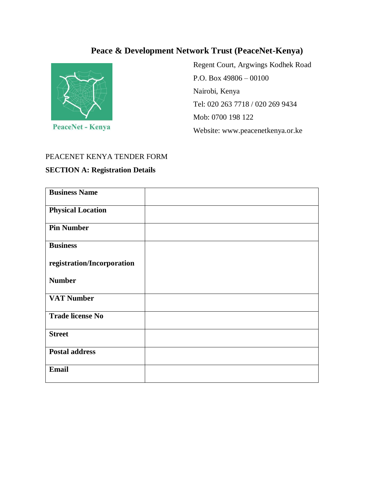# **Peace & Development Network Trust (PeaceNet-Kenya)**



Regent Court, Argwings Kodhek Road P.O. Box 49806 – 00100 Nairobi, Kenya Tel: 020 263 7718 / 020 269 9434 Mob: 0700 198 122 Website: www.peacenetkenya.or.ke

### PEACENET KENYA TENDER FORM

### **SECTION A: Registration Details**

| <b>Business Name</b>       |  |
|----------------------------|--|
| <b>Physical Location</b>   |  |
| <b>Pin Number</b>          |  |
| <b>Business</b>            |  |
| registration/Incorporation |  |
| <b>Number</b>              |  |
| <b>VAT Number</b>          |  |
| <b>Trade license No</b>    |  |
| <b>Street</b>              |  |
| <b>Postal address</b>      |  |
| Email                      |  |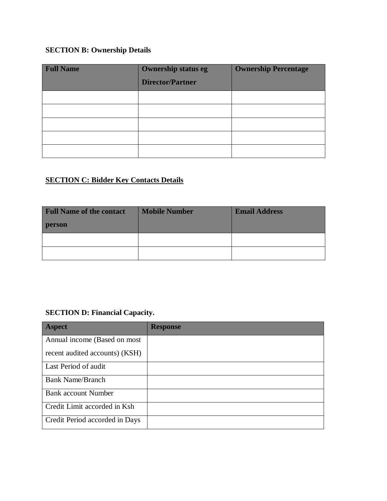## **SECTION B: Ownership Details**

| <b>Full Name</b> | <b>Ownership status eg</b><br><b>Director/Partner</b> | <b>Ownership Percentage</b> |
|------------------|-------------------------------------------------------|-----------------------------|
|                  |                                                       |                             |
|                  |                                                       |                             |
|                  |                                                       |                             |
|                  |                                                       |                             |
|                  |                                                       |                             |

## **SECTION C: Bidder Key Contacts Details**

| <b>Full Name of the contact</b> | <b>Mobile Number</b> | <b>Email Address</b> |
|---------------------------------|----------------------|----------------------|
| person                          |                      |                      |
|                                 |                      |                      |
|                                 |                      |                      |

## **SECTION D: Financial Capacity.**

| Aspect                         | <b>Response</b> |
|--------------------------------|-----------------|
| Annual income (Based on most   |                 |
| recent audited accounts) (KSH) |                 |
| Last Period of audit           |                 |
| <b>Bank Name/Branch</b>        |                 |
| <b>Bank account Number</b>     |                 |
| Credit Limit accorded in Ksh   |                 |
| Credit Period accorded in Days |                 |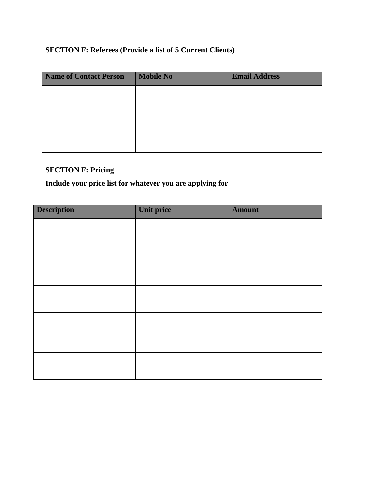## **SECTION F: Referees (Provide a list of 5 Current Clients)**

| <b>Name of Contact Person</b> | <b>Mobile No</b> | <b>Email Address</b> |
|-------------------------------|------------------|----------------------|
|                               |                  |                      |
|                               |                  |                      |
|                               |                  |                      |
|                               |                  |                      |
|                               |                  |                      |

### **SECTION F: Pricing**

## **Include your price list for whatever you are applying for**

| <b>Description</b> | Unit price | <b>Amount</b> |
|--------------------|------------|---------------|
|                    |            |               |
|                    |            |               |
|                    |            |               |
|                    |            |               |
|                    |            |               |
|                    |            |               |
|                    |            |               |
|                    |            |               |
|                    |            |               |
|                    |            |               |
|                    |            |               |
|                    |            |               |